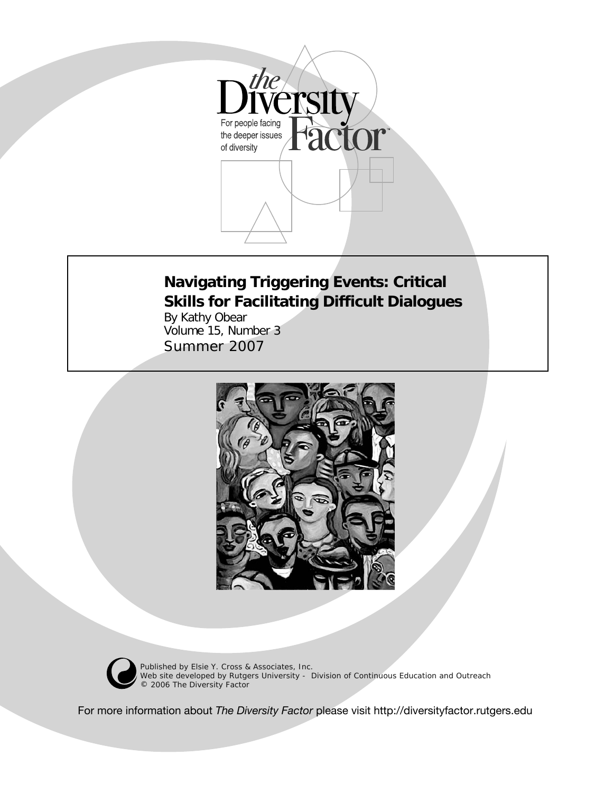

# **Navigating Triggering Events: Critical Skills for Facilitating Difficult Dialogues**

By Kathy Obear Volume 15, Number 3 *Summer 2007*





© Published by Elsie Y. Cross & Associates, Inc. Web site developed by Rutgers University - Division of Continuous Education and Outreach 2006 *The Diversity Factor*

For more information about *The Diversity Factor* please visit http://diversityfactor.rutgers.edu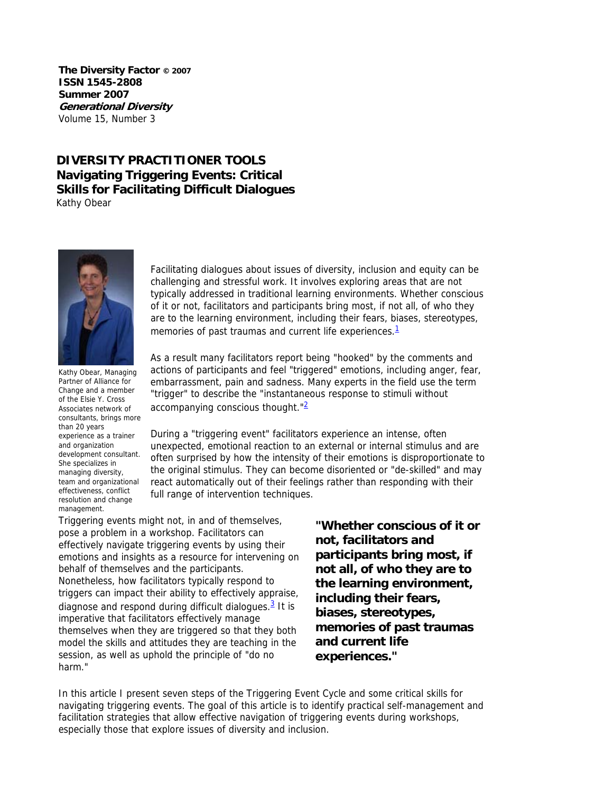**The Diversity Factor © 2007 ISSN 1545-2808 Summer 2007 Generational Diversity**  Volume 15, Number 3

# **DIVERSITY PRACTITIONER TOOLS Navigating Triggering Events: Critical Skills for Facilitating Difficult Dialogues**

Kathy Obear



Kathy Obear, Managing Partner of Alliance for Change and a member of the Elsie Y. Cross Associates network of consultants, brings more than 20 years experience as a trainer and organization development consultant. She specializes in managing diversity, team and organizational effectiveness, conflict resolution and change management.

Facilitating dialogues about issues of diversity, inclusion and equity can be challenging and stressful work. It involves exploring areas that are not typically addressed in traditional learning environments. Whether conscious of it or not, facilitators and participants bring most, if not all, of who they are to the learning environment, including their fears, biases, stereotypes, memories of past traumas and current life experiences.<sup>1</sup>

As a result many facilitators report being "hooked" by the comments and actions of participants and feel "triggered" emotions, including anger, fear, embarrassment, pain and sadness. Many experts in the field use the term "trigger" to describe the "instantaneous response to stimuli without accompanying conscious thought. $\frac{2}{2}$ 

During a "triggering event" facilitators experience an intense, often unexpected, emotional reaction to an external or internal stimulus and are often surprised by how the intensity of their emotions is disproportionate to the original stimulus. They can become disoriented or "de-skilled" and may react automatically out of their feelings rather than responding with their full range of intervention techniques.

Triggering events might not, in and of themselves, pose a problem in a workshop. Facilitators can effectively navigate triggering events by using their emotions and insights as a resource for intervening on behalf of themselves and the participants. Nonetheless, how facilitators typically respond to triggers can impact their ability to effectively appraise, diagnose and respond during difficult dialogues. $3$  It is imperative that facilitators effectively manage themselves when they are triggered so that they both model the skills and attitudes they are teaching in the session, as well as uphold the principle of "do no harm."

**"Whether conscious of it or not, facilitators and participants bring most, if not all, of who they are to the learning environment, including their fears, biases, stereotypes, memories of past traumas and current life experiences."**

In this article I present seven steps of the Triggering Event Cycle and some critical skills for navigating triggering events. The goal of this article is to identify practical self-management and facilitation strategies that allow effective navigation of triggering events during workshops, especially those that explore issues of diversity and inclusion.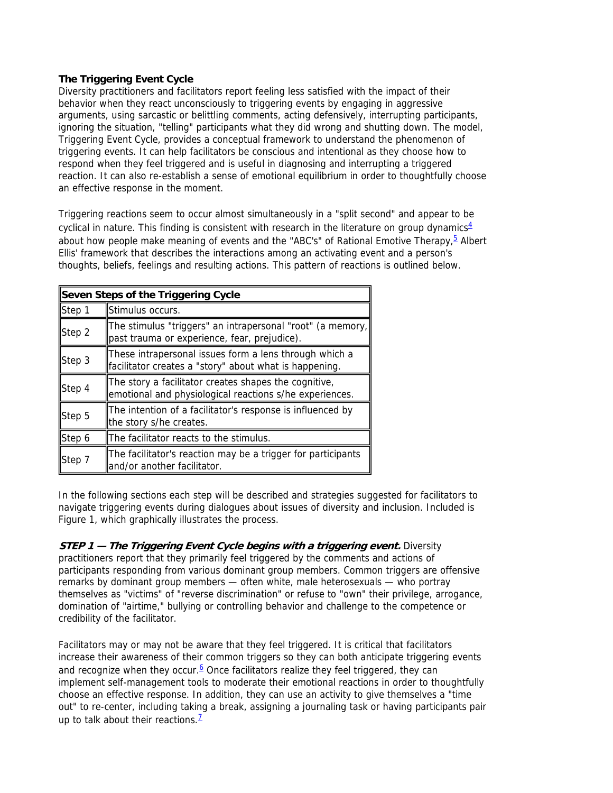## **The Triggering Event Cycle**

Diversity practitioners and facilitators report feeling less satisfied with the impact of their behavior when they react unconsciously to triggering events by engaging in aggressive arguments, using sarcastic or belittling comments, acting defensively, interrupting participants, ignoring the situation, "telling" participants what they did wrong and shutting down. The model, Triggering Event Cycle, provides a conceptual framework to understand the phenomenon of triggering events. It can help facilitators be conscious and intentional as they choose how to respond when they feel triggered and is useful in diagnosing and interrupting a triggered reaction. It can also re-establish a sense of emotional equilibrium in order to thoughtfully choose an effective response in the moment.

Triggering reactions seem to occur almost simultaneously in a "split second" and appear to be cyclical in nature. This finding is consistent with research in the literature on group dynamics $4$ about how people make meaning of events and the "ABC's" of Rational Emotive Therapy,  $\frac{5}{5}$  Albert Ellis' framework that describes the interactions among an activating event and a person's thoughts, beliefs, feelings and resulting actions. This pattern of reactions is outlined below.

| Seven Steps of the Triggering Cycle |                                                                                                                  |
|-------------------------------------|------------------------------------------------------------------------------------------------------------------|
| Step 1                              | Stimulus occurs.                                                                                                 |
| Step 2                              | The stimulus "triggers" an intrapersonal "root" (a memory,<br>past trauma or experience, fear, prejudice).       |
| Step 3                              | These intrapersonal issues form a lens through which a<br>facilitator creates a "story" about what is happening. |
| Step 4                              | The story a facilitator creates shapes the cognitive,<br>emotional and physiological reactions s/he experiences. |
| Step 5                              | The intention of a facilitator's response is influenced by<br>the story s/he creates.                            |
| Step 6                              | The facilitator reacts to the stimulus.                                                                          |
| Step 7                              | The facilitator's reaction may be a trigger for participants<br>and/or another facilitator.                      |

In the following sections each step will be described and strategies suggested for facilitators to navigate triggering events during dialogues about issues of diversity and inclusion. Included is Figure 1, which graphically illustrates the process.

**STEP 1 — The Triggering Event Cycle begins with a triggering event.** Diversity practitioners report that they primarily feel triggered by the comments and actions of participants responding from various dominant group members. Common triggers are offensive remarks by dominant group members — often white, male heterosexuals — who portray themselves as "victims" of "reverse discrimination" or refuse to "own" their privilege, arrogance, domination of "airtime," bullying or controlling behavior and challenge to the competence or credibility of the facilitator.

Facilitators may or may not be aware that they feel triggered. It is critical that facilitators increase their awareness of their common triggers so they can both anticipate triggering events and recognize when they occur. $6$  Once facilitators realize they feel triggered, they can implement self-management tools to moderate their emotional reactions in order to thoughtfully choose an effective response. In addition, they can use an activity to give themselves a "time out" to re-center, including taking a break, assigning a journaling task or having participants pair up to talk about their reactions. $<sup>1</sup>$ </sup>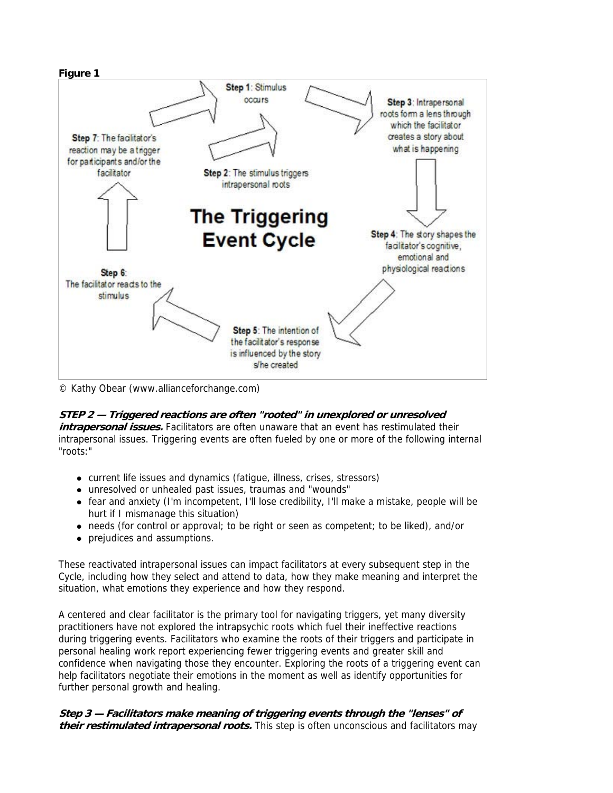

© Kathy Obear (www.allianceforchange.com)

## **STEP 2 — Triggered reactions are often "rooted" in unexplored or unresolved**

**intrapersonal issues.** Facilitators are often unaware that an event has restimulated their intrapersonal issues. Triggering events are often fueled by one or more of the following internal "roots:"

- current life issues and dynamics (fatigue, illness, crises, stressors)
- unresolved or unhealed past issues, traumas and "wounds"
- fear and anxiety (I'm incompetent, I'll lose credibility, I'll make a mistake, people will be hurt if I mismanage this situation)
- needs (for control or approval; to be right or seen as competent; to be liked), and/or
- prejudices and assumptions.

These reactivated intrapersonal issues can impact facilitators at every subsequent step in the Cycle, including how they select and attend to data, how they make meaning and interpret the situation, what emotions they experience and how they respond.

A centered and clear facilitator is the primary tool for navigating triggers, yet many diversity practitioners have not explored the intrapsychic roots which fuel their ineffective reactions during triggering events. Facilitators who examine the roots of their triggers and participate in personal healing work report experiencing fewer triggering events and greater skill and confidence when navigating those they encounter. Exploring the roots of a triggering event can help facilitators negotiate their emotions in the moment as well as identify opportunities for further personal growth and healing.

**Step 3 — Facilitators make meaning of triggering events through the "lenses" of their restimulated intrapersonal roots.** This step is often unconscious and facilitators may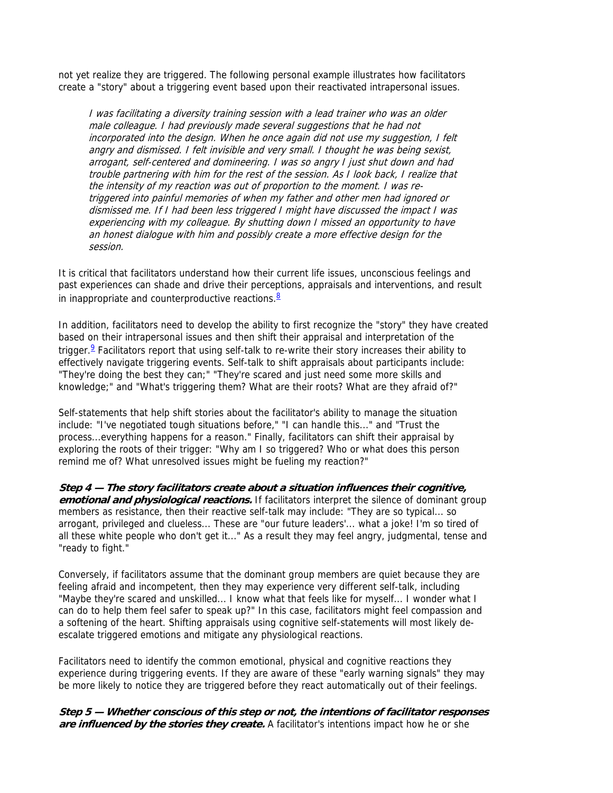not yet realize they are triggered. The following personal example illustrates how facilitators create a "story" about a triggering event based upon their reactivated intrapersonal issues.

I was facilitating a diversity training session with a lead trainer who was an older male colleague. I had previously made several suggestions that he had not incorporated into the design. When he once again did not use my suggestion, I felt angry and dismissed. I felt invisible and very small. I thought he was being sexist, arrogant, self-centered and domineering. I was so angry I just shut down and had trouble partnering with him for the rest of the session. As I look back, I realize that the intensity of my reaction was out of proportion to the moment. I was retriggered into painful memories of when my father and other men had ignored or dismissed me. If I had been less triggered I might have discussed the impact I was experiencing with my colleague. By shutting down I missed an opportunity to have an honest dialogue with him and possibly create a more effective design for the session.

It is critical that facilitators understand how their current life issues, unconscious feelings and past experiences can shade and drive their perceptions, appraisals and interventions, and result in inappropriate and counterproductive reactions. $8$ 

In addition, facilitators need to develop the ability to first recognize the "story" they have created based on their intrapersonal issues and then shift their appraisal and interpretation of the trigger.<sup>9</sup> Facilitators report that using self-talk to re-write their story increases their ability to effectively navigate triggering events. Self-talk to shift appraisals about participants include: "They're doing the best they can;" "They're scared and just need some more skills and knowledge;" and "What's triggering them? What are their roots? What are they afraid of?"

Self-statements that help shift stories about the facilitator's ability to manage the situation include: "I've negotiated tough situations before," "I can handle this..." and "Trust the process...everything happens for a reason." Finally, facilitators can shift their appraisal by exploring the roots of their trigger: "Why am I so triggered? Who or what does this person remind me of? What unresolved issues might be fueling my reaction?"

**Step 4 — The story facilitators create about a situation influences their cognitive, emotional and physiological reactions.** If facilitators interpret the silence of dominant group members as resistance, then their reactive self-talk may include: "They are so typical... so arrogant, privileged and clueless... These are "our future leaders'... what a joke! I'm so tired of all these white people who don't get it..." As a result they may feel angry, judgmental, tense and "ready to fight."

Conversely, if facilitators assume that the dominant group members are quiet because they are feeling afraid and incompetent, then they may experience very different self-talk, including "Maybe they're scared and unskilled... I know what that feels like for myself... I wonder what I can do to help them feel safer to speak up?" In this case, facilitators might feel compassion and a softening of the heart. Shifting appraisals using cognitive self-statements will most likely deescalate triggered emotions and mitigate any physiological reactions.

Facilitators need to identify the common emotional, physical and cognitive reactions they experience during triggering events. If they are aware of these "early warning signals" they may be more likely to notice they are triggered before they react automatically out of their feelings.

### **Step 5 — Whether conscious of this step or not, the intentions of facilitator responses are influenced by the stories they create.** A facilitator's intentions impact how he or she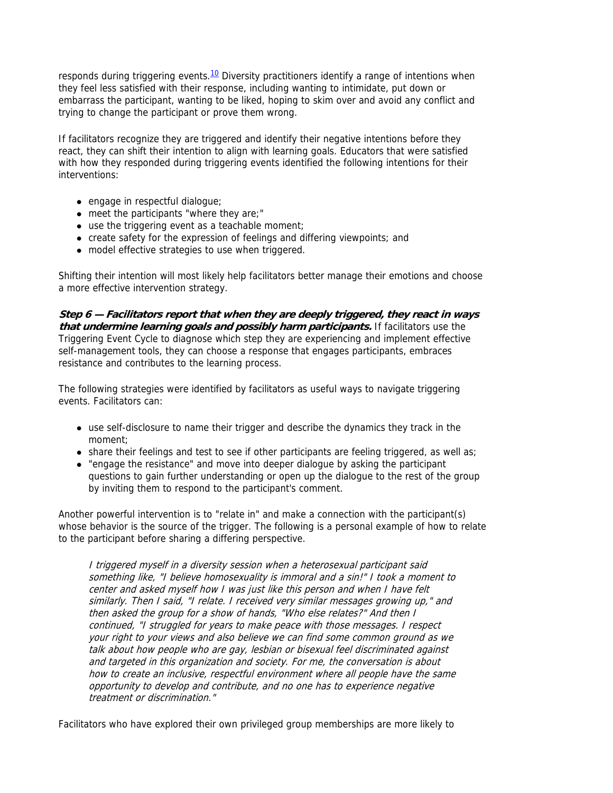responds during triggering events.<sup>10</sup> Diversity practitioners identify a range of intentions when they feel less satisfied with their response, including wanting to intimidate, put down or embarrass the participant, wanting to be liked, hoping to skim over and avoid any conflict and trying to change the participant or prove them wrong.

If facilitators recognize they are triggered and identify their negative intentions before they react, they can shift their intention to align with learning goals. Educators that were satisfied with how they responded during triggering events identified the following intentions for their interventions:

- $\bullet$  engage in respectful dialogue;
- $\bullet$  meet the participants "where they are;"
- $\bullet$  use the triggering event as a teachable moment;
- create safety for the expression of feelings and differing viewpoints; and
- model effective strategies to use when triggered.

Shifting their intention will most likely help facilitators better manage their emotions and choose a more effective intervention strategy.

**Step 6 — Facilitators report that when they are deeply triggered, they react in ways that undermine learning goals and possibly harm participants.** If facilitators use the Triggering Event Cycle to diagnose which step they are experiencing and implement effective self-management tools, they can choose a response that engages participants, embraces resistance and contributes to the learning process.

The following strategies were identified by facilitators as useful ways to navigate triggering events. Facilitators can:

- use self-disclosure to name their trigger and describe the dynamics they track in the moment;
- $\bullet$  share their feelings and test to see if other participants are feeling triggered, as well as;
- "engage the resistance" and move into deeper dialogue by asking the participant questions to gain further understanding or open up the dialogue to the rest of the group by inviting them to respond to the participant's comment.

Another powerful intervention is to "relate in" and make a connection with the participant(s) whose behavior is the source of the trigger. The following is a personal example of how to relate to the participant before sharing a differing perspective.

I triggered myself in a diversity session when a heterosexual participant said something like, "I believe homosexuality is immoral and a sin!" I took a moment to center and asked myself how I was just like this person and when I have felt similarly. Then I said, "I relate. I received very similar messages growing up," and then asked the group for a show of hands, "Who else relates?" And then I continued, "I struggled for years to make peace with those messages. I respect your right to your views and also believe we can find some common ground as we talk about how people who are gay, lesbian or bisexual feel discriminated against and targeted in this organization and society. For me, the conversation is about how to create an inclusive, respectful environment where all people have the same opportunity to develop and contribute, and no one has to experience negative treatment or discrimination."

Facilitators who have explored their own privileged group memberships are more likely to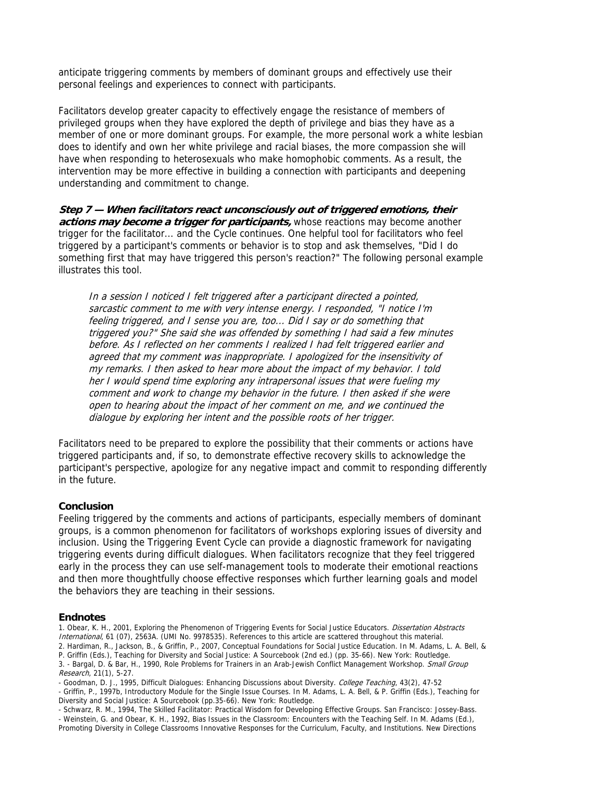anticipate triggering comments by members of dominant groups and effectively use their personal feelings and experiences to connect with participants.

Facilitators develop greater capacity to effectively engage the resistance of members of privileged groups when they have explored the depth of privilege and bias they have as a member of one or more dominant groups. For example, the more personal work a white lesbian does to identify and own her white privilege and racial biases, the more compassion she will have when responding to heterosexuals who make homophobic comments. As a result, the intervention may be more effective in building a connection with participants and deepening understanding and commitment to change.

**Step 7 — When facilitators react unconsciously out of triggered emotions, their**  *actions may become a trigger for participants,* **whose reactions may become another** trigger for the facilitator... and the Cycle continues. One helpful tool for facilitators who feel triggered by a participant's comments or behavior is to stop and ask themselves, "Did I do something first that may have triggered this person's reaction?" The following personal example illustrates this tool.

In a session I noticed I felt triggered after a participant directed a pointed, sarcastic comment to me with very intense energy. I responded, "I notice I'm feeling triggered, and I sense you are, too... Did I say or do something that triggered you?" She said she was offended by something I had said a few minutes before. As I reflected on her comments I realized I had felt triggered earlier and agreed that my comment was inappropriate. I apologized for the insensitivity of my remarks. I then asked to hear more about the impact of my behavior. I told her I would spend time exploring any intrapersonal issues that were fueling my comment and work to change my behavior in the future. I then asked if she were open to hearing about the impact of her comment on me, and we continued the dialogue by exploring her intent and the possible roots of her trigger.

Facilitators need to be prepared to explore the possibility that their comments or actions have triggered participants and, if so, to demonstrate effective recovery skills to acknowledge the participant's perspective, apologize for any negative impact and commit to responding differently in the future.

#### **Conclusion**

Feeling triggered by the comments and actions of participants, especially members of dominant groups, is a common phenomenon for facilitators of workshops exploring issues of diversity and inclusion. Using the Triggering Event Cycle can provide a diagnostic framework for navigating triggering events during difficult dialogues. When facilitators recognize that they feel triggered early in the process they can use self-management tools to moderate their emotional reactions and then more thoughtfully choose effective responses which further learning goals and model the behaviors they are teaching in their sessions.

#### **Endnotes**

1. Obear, K. H., 2001, Exploring the Phenomenon of Triggering Events for Social Justice Educators. Dissertation Abstracts International, 61 (07), 2563A. (UMI No. 9978535). References to this article are scattered throughout this material. 2. Hardiman, R., Jackson, B., & Griffin, P., 2007, Conceptual Foundations for Social Justice Education. In M. Adams, L. A. Bell, & P. Griffin (Eds.), Teaching for Diversity and Social Justice: A Sourcebook (2nd ed.) (pp. 35-66). New York: Routledge. 3. - Bargal, D. & Bar, H., 1990, Role Problems for Trainers in an Arab-Jewish Conflict Management Workshop. Small Group Research, 21(1), 5-27.

- Goodman, D. J., 1995, Difficult Dialogues: Enhancing Discussions about Diversity. College Teaching, 43(2), 47-52

- Griffin, P., 1997b, Introductory Module for the Single Issue Courses. In M. Adams, L. A. Bell, & P. Griffin (Eds.), Teaching for Diversity and Social Justice: A Sourcebook (pp.35-66). New York: Routledge.

- Schwarz, R. M., 1994, The Skilled Facilitator: Practical Wisdom for Developing Effective Groups. San Francisco: Jossey-Bass. - Weinstein, G. and Obear, K. H., 1992, Bias Issues in the Classroom: Encounters with the Teaching Self. In M. Adams (Ed.), Promoting Diversity in College Classrooms Innovative Responses for the Curriculum, Faculty, and Institutions. New Directions